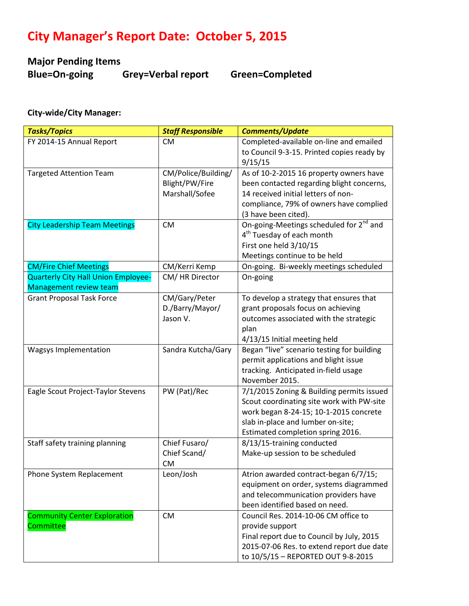## **City Manager's Report Date: October 5, 2015**

# **Major Pending Items**

**Blue=On-going Grey=Verbal report Green=Completed**

#### **City-wide/City Manager:**

| <b>Tasks/Topics</b>                  | <b>Staff Responsible</b> | <b>Comments/Update</b>                              |
|--------------------------------------|--------------------------|-----------------------------------------------------|
| FY 2014-15 Annual Report             | <b>CM</b>                | Completed-available on-line and emailed             |
|                                      |                          | to Council 9-3-15. Printed copies ready by          |
|                                      |                          | 9/15/15                                             |
| <b>Targeted Attention Team</b>       | CM/Police/Building/      | As of 10-2-2015 16 property owners have             |
|                                      | Blight/PW/Fire           | been contacted regarding blight concerns,           |
|                                      | Marshall/Sofee           | 14 received initial letters of non-                 |
|                                      |                          | compliance, 79% of owners have complied             |
|                                      |                          | (3 have been cited).                                |
| <b>City Leadership Team Meetings</b> | <b>CM</b>                | On-going-Meetings scheduled for 2 <sup>nd</sup> and |
|                                      |                          | 4 <sup>th</sup> Tuesday of each month               |
|                                      |                          | First one held 3/10/15                              |
|                                      |                          | Meetings continue to be held                        |
| <b>CM/Fire Chief Meetings</b>        | CM/Kerri Kemp            | On-going. Bi-weekly meetings scheduled              |
| Quarterly City Hall Union Employee-  | CM/HR Director           | On-going                                            |
| Management review team               |                          |                                                     |
| <b>Grant Proposal Task Force</b>     | CM/Gary/Peter            | To develop a strategy that ensures that             |
|                                      | D./Barry/Mayor/          | grant proposals focus on achieving                  |
|                                      | Jason V.                 | outcomes associated with the strategic              |
|                                      |                          | plan                                                |
|                                      |                          | 4/13/15 Initial meeting held                        |
| Wagsys Implementation                | Sandra Kutcha/Gary       | Began "live" scenario testing for building          |
|                                      |                          | permit applications and blight issue                |
|                                      |                          | tracking. Anticipated in-field usage                |
|                                      |                          | November 2015.                                      |
| Eagle Scout Project-Taylor Stevens   | PW (Pat)/Rec             | 7/1/2015 Zoning & Building permits issued           |
|                                      |                          | Scout coordinating site work with PW-site           |
|                                      |                          | work began 8-24-15; 10-1-2015 concrete              |
|                                      |                          | slab in-place and lumber on-site;                   |
|                                      |                          | Estimated completion spring 2016.                   |
| Staff safety training planning       | Chief Fusaro/            | 8/13/15-training conducted                          |
|                                      | Chief Scand/             | Make-up session to be scheduled                     |
|                                      | <b>CM</b>                |                                                     |
| Phone System Replacement             | Leon/Josh                | Atrion awarded contract-began 6/7/15;               |
|                                      |                          | equipment on order, systems diagrammed              |
|                                      |                          | and telecommunication providers have                |
|                                      |                          | been identified based on need.                      |
| <b>Community Center Exploration</b>  | <b>CM</b>                | Council Res. 2014-10-06 CM office to                |
| Committee                            |                          | provide support                                     |
|                                      |                          | Final report due to Council by July, 2015           |
|                                      |                          | 2015-07-06 Res. to extend report due date           |
|                                      |                          | to 10/5/15 - REPORTED OUT 9-8-2015                  |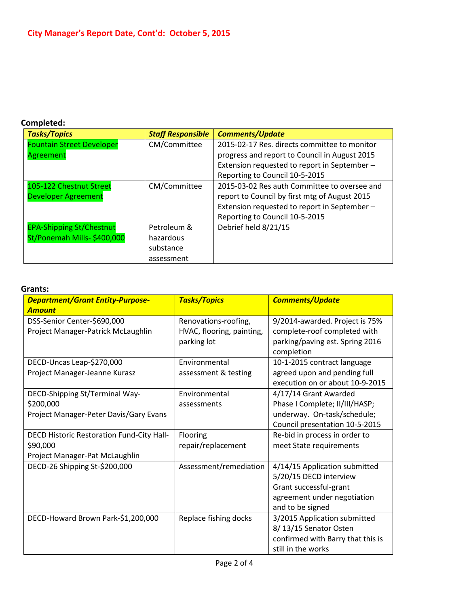#### **Completed:**

| <b>Tasks/Topics</b>              | <b>Staff Responsible</b> | <b>Comments/Update</b>                        |
|----------------------------------|--------------------------|-----------------------------------------------|
| <b>Fountain Street Developer</b> | CM/Committee             | 2015-02-17 Res. directs committee to monitor  |
| Agreement                        |                          | progress and report to Council in August 2015 |
|                                  |                          | Extension requested to report in September-   |
|                                  |                          | Reporting to Council 10-5-2015                |
| 105-122 Chestnut Street          | CM/Committee             | 2015-03-02 Res auth Committee to oversee and  |
| <b>Developer Agreement</b>       |                          | report to Council by first mtg of August 2015 |
|                                  |                          | Extension requested to report in September-   |
|                                  |                          | Reporting to Council 10-5-2015                |
| <b>EPA-Shipping St/Chestnut</b>  | Petroleum &              | Debrief held 8/21/15                          |
| St/Ponemah Mills- \$400,000      | hazardous                |                                               |
|                                  | substance                |                                               |
|                                  | assessment               |                                               |

#### **Grants:**

| <b>Department/Grant Entity-Purpose-</b>   | <b>Tasks/Topics</b>       | <b>Comments/Update</b>            |
|-------------------------------------------|---------------------------|-----------------------------------|
| <b>Amount</b>                             |                           |                                   |
| DSS-Senior Center-\$690,000               | Renovations-roofing,      | 9/2014-awarded. Project is 75%    |
| Project Manager-Patrick McLaughlin        | HVAC, flooring, painting, | complete-roof completed with      |
|                                           | parking lot               | parking/paving est. Spring 2016   |
|                                           |                           | completion                        |
| DECD-Uncas Leap-\$270,000                 | Environmental             | 10-1-2015 contract language       |
| Project Manager-Jeanne Kurasz             | assessment & testing      | agreed upon and pending full      |
|                                           |                           | execution on or about 10-9-2015   |
| DECD-Shipping St/Terminal Way-            | Environmental             | 4/17/14 Grant Awarded             |
| \$200,000                                 | assessments               | Phase I Complete; II/III/HASP;    |
| Project Manager-Peter Davis/Gary Evans    |                           | underway. On-task/schedule;       |
|                                           |                           | Council presentation 10-5-2015    |
| DECD Historic Restoration Fund-City Hall- | Flooring                  | Re-bid in process in order to     |
| \$90,000                                  | repair/replacement        | meet State requirements           |
| Project Manager-Pat McLaughlin            |                           |                                   |
| DECD-26 Shipping St-\$200,000             | Assessment/remediation    | 4/14/15 Application submitted     |
|                                           |                           | 5/20/15 DECD interview            |
|                                           |                           | Grant successful-grant            |
|                                           |                           | agreement under negotiation       |
|                                           |                           | and to be signed                  |
| DECD-Howard Brown Park-\$1,200,000        | Replace fishing docks     | 3/2015 Application submitted      |
|                                           |                           | 8/13/15 Senator Osten             |
|                                           |                           | confirmed with Barry that this is |
|                                           |                           | still in the works                |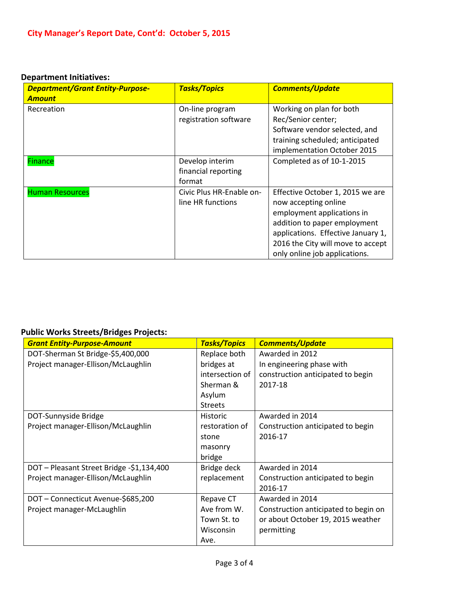#### **Department Initiatives:**

| <b>Department/Grant Entity-Purpose-</b><br><b>Amount</b> | <b>Tasks/Topics</b>                              | <b>Comments/Update</b>                                                                                                                                                                                                             |
|----------------------------------------------------------|--------------------------------------------------|------------------------------------------------------------------------------------------------------------------------------------------------------------------------------------------------------------------------------------|
| Recreation                                               | On-line program<br>registration software         | Working on plan for both<br>Rec/Senior center;<br>Software vendor selected, and<br>training scheduled; anticipated<br>implementation October 2015                                                                                  |
| <b>Finance</b>                                           | Develop interim<br>financial reporting<br>format | Completed as of 10-1-2015                                                                                                                                                                                                          |
| <b>Human Resources</b>                                   | Civic Plus HR-Enable on-<br>line HR functions    | Effective October 1, 2015 we are<br>now accepting online<br>employment applications in<br>addition to paper employment<br>applications. Effective January 1,<br>2016 the City will move to accept<br>only online job applications. |

### **Public Works Streets/Bridges Projects:**

| <b>Grant Entity-Purpose-Amount</b>        | <b>Tasks/Topics</b> | <b>Comments/Update</b>               |
|-------------------------------------------|---------------------|--------------------------------------|
| DOT-Sherman St Bridge-\$5,400,000         | Replace both        | Awarded in 2012                      |
| Project manager-Ellison/McLaughlin        | bridges at          | In engineering phase with            |
|                                           | intersection of     | construction anticipated to begin    |
|                                           | Sherman &           | 2017-18                              |
|                                           | Asylum              |                                      |
|                                           | <b>Streets</b>      |                                      |
| DOT-Sunnyside Bridge                      | <b>Historic</b>     | Awarded in 2014                      |
| Project manager-Ellison/McLaughlin        | restoration of      | Construction anticipated to begin    |
|                                           | stone               | 2016-17                              |
|                                           | masonry             |                                      |
|                                           | bridge              |                                      |
| DOT - Pleasant Street Bridge -\$1,134,400 | Bridge deck         | Awarded in 2014                      |
| Project manager-Ellison/McLaughlin        | replacement         | Construction anticipated to begin    |
|                                           |                     | 2016-17                              |
| DOT-Connecticut Avenue-\$685,200          | Repave CT           | Awarded in 2014                      |
| Project manager-McLaughlin                | Ave from W.         | Construction anticipated to begin on |
|                                           | Town St. to         | or about October 19, 2015 weather    |
|                                           | Wisconsin           | permitting                           |
|                                           | Ave.                |                                      |